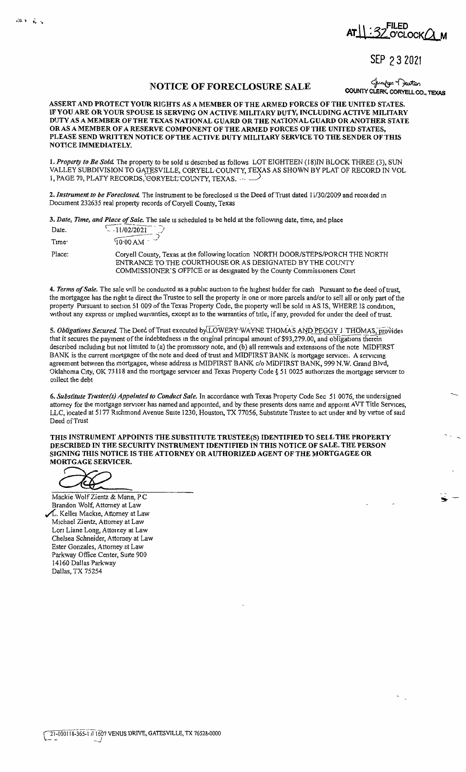**AT\_1.** :32 O'CLOCK Q\_M

SEP 2 3 2021

## NOTICE OF FORECLOSURE SALE COUNTY CLERK, CORYELL CO., TEXAS

ASSERT AND PROTECT YOUR RIGHTS AS A MEMBER OF THE ARMED FORCES OF THE UNITED STATES. IFYOU ARE OR YOUR SPOUSE IS SERVING ON ACTIVE MILITARY DUTY, INCLUDING ACTIVE MILITARY DUTY AS A MEMBER OF THE TEXAS NATIONAL GUARD OR THE NATIONAL GUARD OR ANOTHER STATE OR AS A MEMBER OF A RESERVE COMPONENT OF THE ARMED FORCES OF THE UNITED STATES, PLEASE SEND WRITTEN NOTICE OF THE ACTIVE DUTY MILITARY SERVICE TO THE SENDER OF THIS NOTICE IMMEDIATELY.

1. Property to Be Sold. The property to be sold is described as follows LOT EIGHTEEN (18)IN BLOCK THREE (3), SUN VALLEY SUBDIVISION TO GATESVILLE, CORYELL-COUNTY, TEXAS AS SHOWN BY PLAT OF RECORD IN VOL 1, PAGE 70, PLATY RECORDS, CORYELL COUNTY, TEXAS. ---

2. Instrument to be Foreclosed. The instrument to be foreclosed is the Deed of Trust dated 11/30/2009 and recorded in Document 232635 real property records of Coryell County, Texas

3. *Date, Time, and Place of Sale.* The sale 1s scheduled to be held at the following date, time, and place

| Date.             | $\sim$ -11/02/2021                                                                                                                                                                                                        |
|-------------------|---------------------------------------------------------------------------------------------------------------------------------------------------------------------------------------------------------------------------|
| Time <sup>-</sup> | $\frac{10.00 \text{ AM}}{20.00 \text{ AM}}$                                                                                                                                                                               |
| Place:            | Coryell County, Texas at the following location NORTH DOOR/STEPS/PORCH THE NORTH<br>ENTRANCE TO THE COURTHOUSE OR AS DESIGNATED BY THE COUNTY<br>COMMISSIONER'S OFFICE or as designated by the County Commissioners Court |

4. *Terms of Sale*. The sale will be conducted as a public auction to the highest bidder for cash Pursuant to the deed of trust, the mortgagee has the nght to direct the Trustee to sell the property in one or more parcels and/or to sell all or only part of the property Pursuant to section 51 009 of the Texas Property Code, the property will be sold in AS IS, WHERE IS condition, without any express or implied warranties, except as to the warranties of title, if any, provided for under the deed of trust.

- 5. *Obligations Secured.* The Deed of Trust executed byLOWERY-WAYNE THOMAS AND PEGGY J THOMAS, provides that it secures the payment of the indebtedness in the original principal amount of \$93,279.00, and obligations therein descnbed mcludmg but not limited to (a) the promissory note, and (b) all renewals and extensions of the note MIDFIRST BANK is the current mortgagee of the note and deed of trust and MIDFIRST BANK is mortgage servicei. A servicing agreement between the mortgagee, whose address 1s MIDFIRST BANK c/o MIDFIRST BANK, 999 N.W. Grand Blvd, Oklahoma City, OK 73118 and the mortgage servicer and Texas Property Code § 51 0025 authonzes the mortgage servicer to collect the debt

**6.** *Substitute Trustee(s) Appointed to Conduct Sale.* In accordance with Texas Property Code Sec 51 0076, the undersigned attorney for the mortgage servicer has named and appointed, and by these presents does name and appoint AVT Title Services, LLC, located at 5177 Richmond Avenue Suite 1230, Houston, TX 77056, Substitute Trustee to act under and by virtue of said Deed of Trust

THIS INSTRUMENT APPOINTS THE SUBSTITUTE TRUSTEE(S) IDENTIFIED TO SELL THE PROPERTY<br>DESCRIBED IN THE SECURITY INSTRUMENT IDENTIFIED IN THIS NOTICE OF SALE. THE PERSON<br>SIGNING THIS NOTICE IS THE ATTORNEY OR AUTHORIZED AGENT **DESCRIBED IN THE SECURITY INSTRUMENT IDENTIFIED IN THIS NOTICE OF SALE. THE PERSON SIGNING THIS NOTICE IS THE ATTORNEY OR AUTHORIZED AGENT OF THE MORTGAGEE OR MORTGAGE SERVICER.** 

Mackie Wolf Zientz & Mann, PC Brandon Wolf, Attorney at Law

**/4.** Kelle1 Mackie, Attorney at Law Michael Zientz, Attorney at Law Lori Liane Long, Attorney at Law Chelsea Schneider, Attorney at Law Ester Gonzales, Attorney at Law Parkway Office Center, Suite 900 14160 Dallas Parkway Dallas, TX 75254

 $\mathbf{m}$  in the  $\mathbf{r}_i$